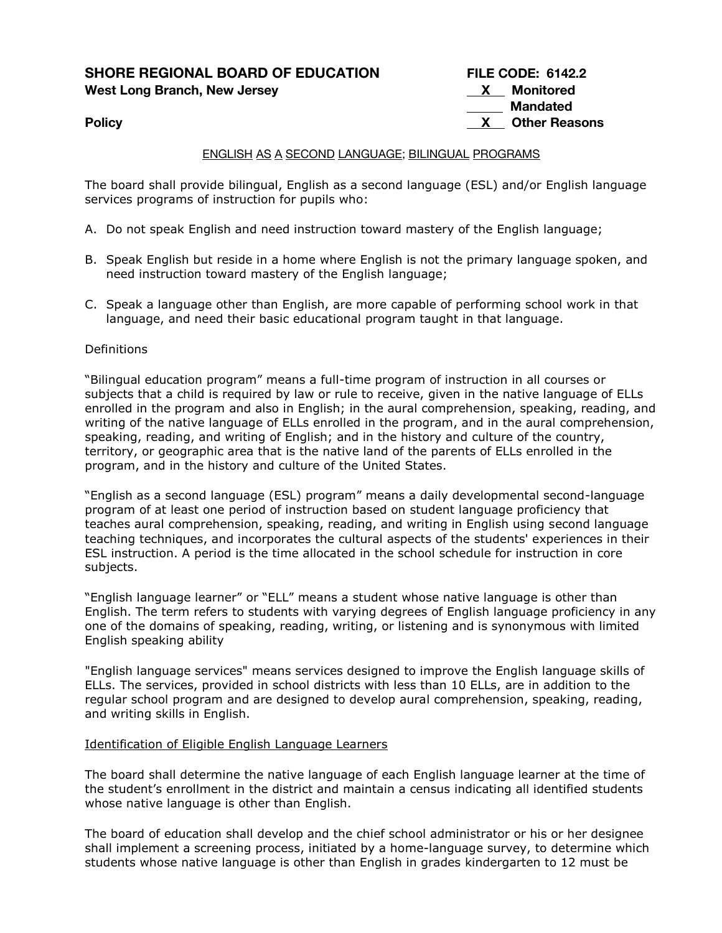**SHORE REGIONAL BOARD OF EDUCATION FILE CODE: 6142.2 West Long Branch, New Jersey X Monitored**

**Mandated Policy Policy Policy Policy** *Policy X Other Reasons* 

# ENGLISH AS A SECOND LANGUAGE; BILINGUAL PROGRAMS

The board shall provide bilingual, English as a second language (ESL) and/or English language services programs of instruction for pupils who:

- A. Do not speak English and need instruction toward mastery of the English language;
- B. Speak English but reside in a home where English is not the primary language spoken, and need instruction toward mastery of the English language;
- C. Speak a language other than English, are more capable of performing school work in that language, and need their basic educational program taught in that language.

### **Definitions**

"Bilingual education program" means a full-time program of instruction in all courses or subjects that a child is required by law or rule to receive, given in the native language of ELLs enrolled in the program and also in English; in the aural comprehension, speaking, reading, and writing of the native language of ELLs enrolled in the program, and in the aural comprehension, speaking, reading, and writing of English; and in the history and culture of the country, territory, or geographic area that is the native land of the parents of ELLs enrolled in the program, and in the history and culture of the United States.

"English as a second language (ESL) program" means a daily developmental second-language program of at least one period of instruction based on student language proficiency that teaches aural comprehension, speaking, reading, and writing in English using second language teaching techniques, and incorporates the cultural aspects of the students' experiences in their ESL instruction. A period is the time allocated in the school schedule for instruction in core subjects.

"English language learner" or "ELL" means a student whose native language is other than English. The term refers to students with varying degrees of English language proficiency in any one of the domains of speaking, reading, writing, or listening and is synonymous with limited English speaking ability

"English language services" means services designed to improve the English language skills of ELLs. The services, provided in school districts with less than 10 ELLs, are in addition to the regular school program and are designed to develop aural comprehension, speaking, reading, and writing skills in English.

#### Identification of Eligible English Language Learners

The board shall determine the native language of each English language learner at the time of the student's enrollment in the district and maintain a census indicating all identified students whose native language is other than English.

The board of education shall develop and the chief school administrator or his or her designee shall implement a screening process, initiated by a home-language survey, to determine which students whose native language is other than English in grades kindergarten to 12 must be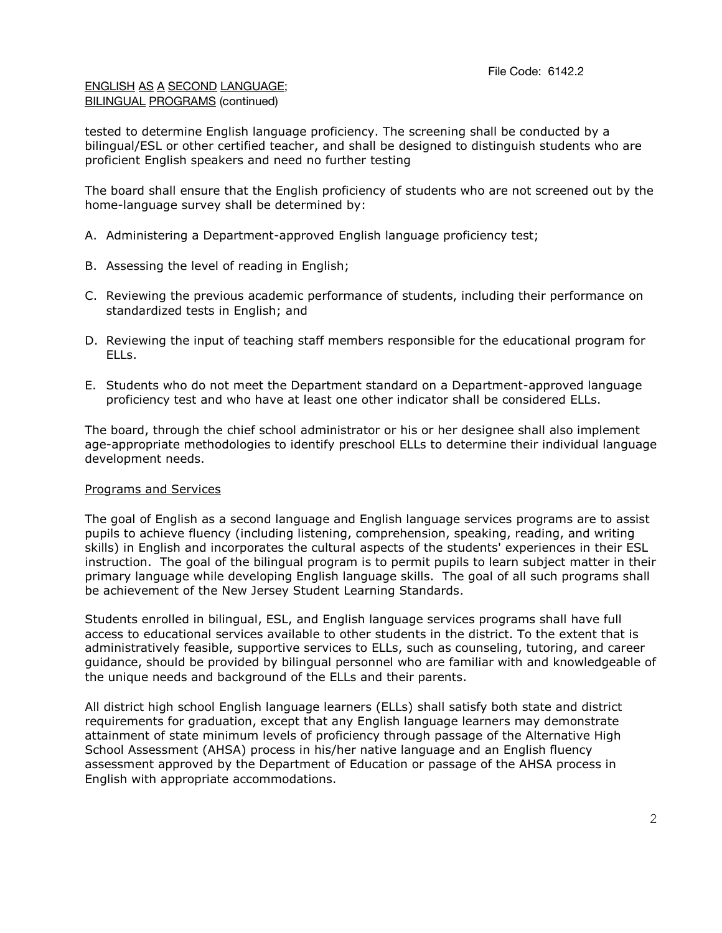tested to determine English language proficiency. The screening shall be conducted by a bilingual/ESL or other certified teacher, and shall be designed to distinguish students who are proficient English speakers and need no further testing

The board shall ensure that the English proficiency of students who are not screened out by the home-language survey shall be determined by:

- A. Administering a Department-approved English language proficiency test;
- B. Assessing the level of reading in English;
- C. Reviewing the previous academic performance of students, including their performance on standardized tests in English; and
- D. Reviewing the input of teaching staff members responsible for the educational program for ELLs.
- E. Students who do not meet the Department standard on a Department-approved language proficiency test and who have at least one other indicator shall be considered ELLs.

The board, through the chief school administrator or his or her designee shall also implement age-appropriate methodologies to identify preschool ELLs to determine their individual language development needs.

# Programs and Services

The goal of English as a second language and English language services programs are to assist pupils to achieve fluency (including listening, comprehension, speaking, reading, and writing skills) in English and incorporates the cultural aspects of the students' experiences in their ESL instruction. The goal of the bilingual program is to permit pupils to learn subject matter in their primary language while developing English language skills. The goal of all such programs shall be achievement of the New Jersey Student Learning Standards.

Students enrolled in bilingual, ESL, and English language services programs shall have full access to educational services available to other students in the district. To the extent that is administratively feasible, supportive services to ELLs, such as counseling, tutoring, and career guidance, should be provided by bilingual personnel who are familiar with and knowledgeable of the unique needs and background of the ELLs and their parents.

All district high school English language learners (ELLs) shall satisfy both state and district requirements for graduation, except that any English language learners may demonstrate attainment of state minimum levels of proficiency through passage of the Alternative High School Assessment (AHSA) process in his/her native language and an English fluency assessment approved by the Department of Education or passage of the AHSA process in English with appropriate accommodations.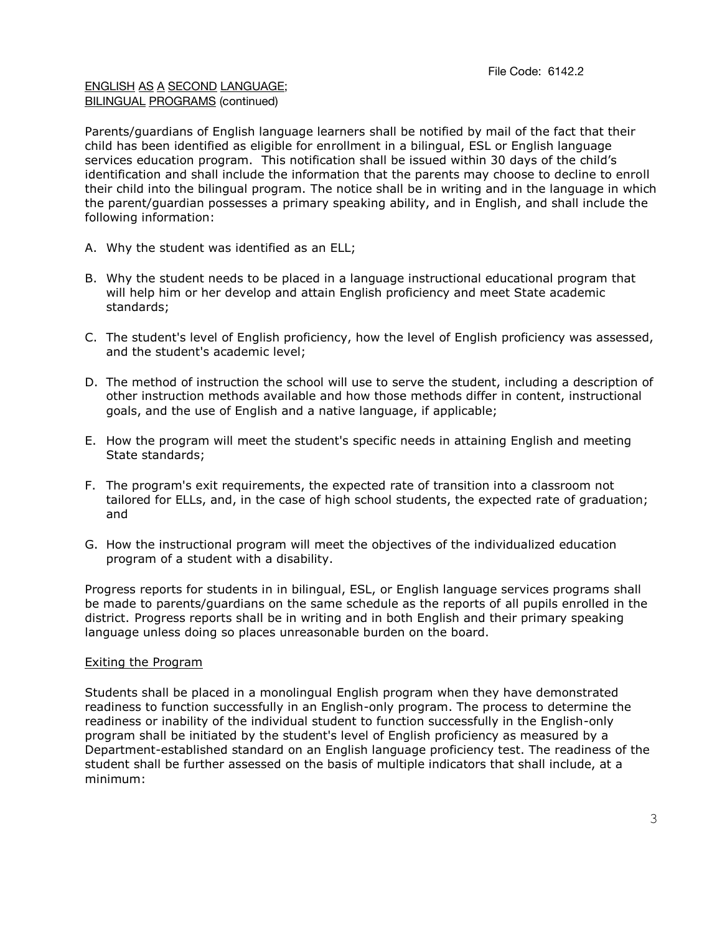Parents/guardians of English language learners shall be notified by mail of the fact that their child has been identified as eligible for enrollment in a bilingual, ESL or English language services education program. This notification shall be issued within 30 days of the child's identification and shall include the information that the parents may choose to decline to enroll their child into the bilingual program. The notice shall be in writing and in the language in which the parent/guardian possesses a primary speaking ability, and in English, and shall include the following information:

- A. Why the student was identified as an ELL;
- B. Why the student needs to be placed in a language instructional educational program that will help him or her develop and attain English proficiency and meet State academic standards;
- C. The student's level of English proficiency, how the level of English proficiency was assessed, and the student's academic level;
- D. The method of instruction the school will use to serve the student, including a description of other instruction methods available and how those methods differ in content, instructional goals, and the use of English and a native language, if applicable;
- E. How the program will meet the student's specific needs in attaining English and meeting State standards;
- F. The program's exit requirements, the expected rate of transition into a classroom not tailored for ELLs, and, in the case of high school students, the expected rate of graduation; and
- G. How the instructional program will meet the objectives of the individualized education program of a student with a disability.

Progress reports for students in in bilingual, ESL, or English language services programs shall be made to parents/guardians on the same schedule as the reports of all pupils enrolled in the district. Progress reports shall be in writing and in both English and their primary speaking language unless doing so places unreasonable burden on the board.

# Exiting the Program

Students shall be placed in a monolingual English program when they have demonstrated readiness to function successfully in an English-only program. The process to determine the readiness or inability of the individual student to function successfully in the English-only program shall be initiated by the student's level of English proficiency as measured by a Department-established standard on an English language proficiency test. The readiness of the student shall be further assessed on the basis of multiple indicators that shall include, at a minimum: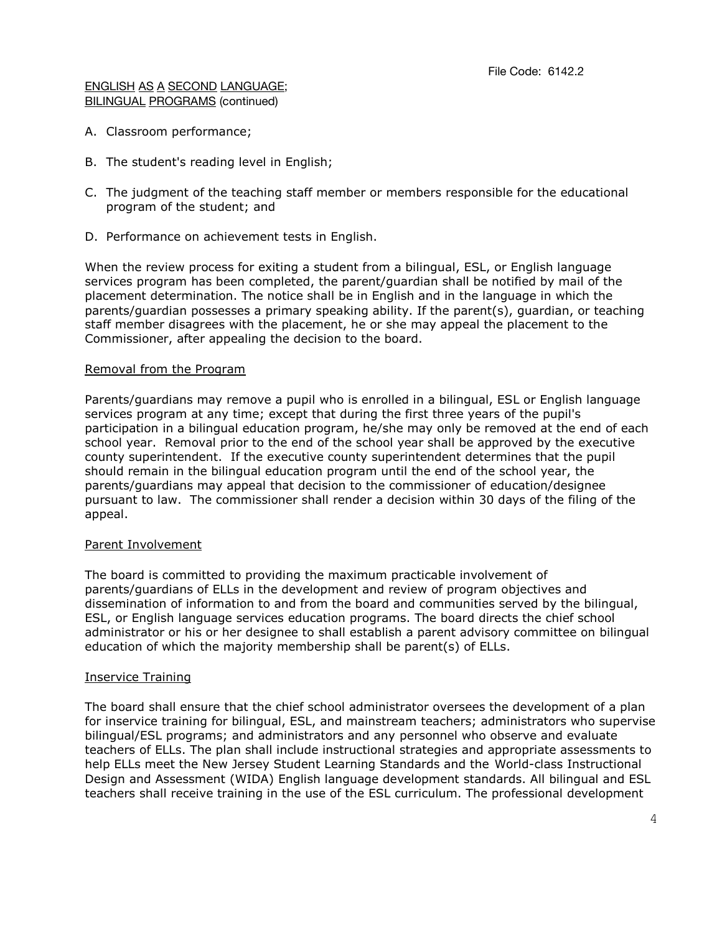- A. Classroom performance;
- B. The student's reading level in English;
- C. The judgment of the teaching staff member or members responsible for the educational program of the student; and
- D. Performance on achievement tests in English.

When the review process for exiting a student from a bilingual, ESL, or English language services program has been completed, the parent/guardian shall be notified by mail of the placement determination. The notice shall be in English and in the language in which the parents/guardian possesses a primary speaking ability. If the parent(s), guardian, or teaching staff member disagrees with the placement, he or she may appeal the placement to the Commissioner, after appealing the decision to the board.

# Removal from the Program

Parents/guardians may remove a pupil who is enrolled in a bilingual, ESL or English language services program at any time; except that during the first three years of the pupil's participation in a bilingual education program, he/she may only be removed at the end of each school year. Removal prior to the end of the school year shall be approved by the executive county superintendent. If the executive county superintendent determines that the pupil should remain in the bilingual education program until the end of the school year, the parents/guardians may appeal that decision to the commissioner of education/designee pursuant to law. The commissioner shall render a decision within 30 days of the filing of the appeal.

# Parent Involvement

The board is committed to providing the maximum practicable involvement of parents/guardians of ELLs in the development and review of program objectives and dissemination of information to and from the board and communities served by the bilingual, ESL, or English language services education programs. The board directs the chief school administrator or his or her designee to shall establish a parent advisory committee on bilingual education of which the majority membership shall be parent(s) of ELLs.

# Inservice Training

The board shall ensure that the chief school administrator oversees the development of a plan for inservice training for bilingual, ESL, and mainstream teachers; administrators who supervise bilingual/ESL programs; and administrators and any personnel who observe and evaluate teachers of ELLs. The plan shall include instructional strategies and appropriate assessments to help ELLs meet the New Jersey Student Learning Standards and the World-class Instructional Design and Assessment (WIDA) English language development standards. All bilingual and ESL teachers shall receive training in the use of the ESL curriculum. The professional development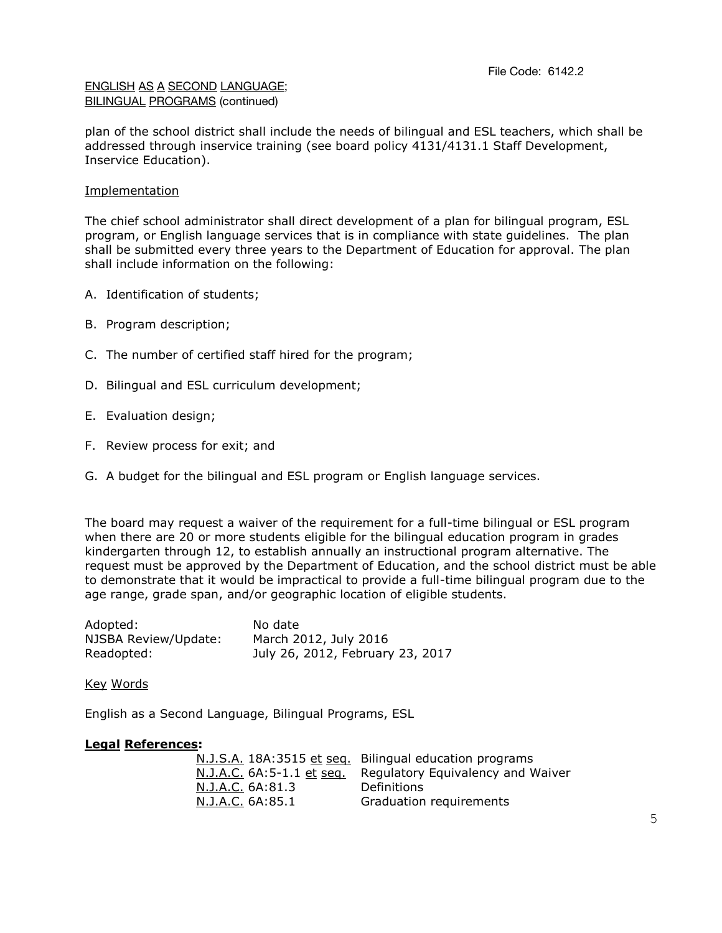plan of the school district shall include the needs of bilingual and ESL teachers, which shall be addressed through inservice training (see board policy 4131/4131.1 Staff Development, Inservice Education).

# Implementation

The chief school administrator shall direct development of a plan for bilingual program, ESL program, or English language services that is in compliance with state guidelines. The plan shall be submitted every three years to the Department of Education for approval. The plan shall include information on the following:

- A. Identification of students;
- B. Program description;
- C. The number of certified staff hired for the program;
- D. Bilingual and ESL curriculum development;
- E. Evaluation design;
- F. Review process for exit; and
- G. A budget for the bilingual and ESL program or English language services.

The board may request a waiver of the requirement for a full-time bilingual or ESL program when there are 20 or more students eligible for the bilingual education program in grades kindergarten through 12, to establish annually an instructional program alternative. The request must be approved by the Department of Education, and the school district must be able to demonstrate that it would be impractical to provide a full-time bilingual program due to the age range, grade span, and/or geographic location of eligible students.

| Adopted:             | No date                          |
|----------------------|----------------------------------|
| NJSBA Review/Update: | March 2012, July 2016            |
| Readopted:           | July 26, 2012, February 23, 2017 |

Key Words

English as a Second Language, Bilingual Programs, ESL

# **Legal References:**

|                  | N.J.S.A. 18A:3515 et seq. Bilingual education programs      |
|------------------|-------------------------------------------------------------|
|                  | N.J.A.C. 6A:5-1.1 et seq. Regulatory Equivalency and Waiver |
| N.J.A.C. 6A:81.3 | Definitions                                                 |
| N.J.A.C. 6A:85.1 | Graduation requirements                                     |